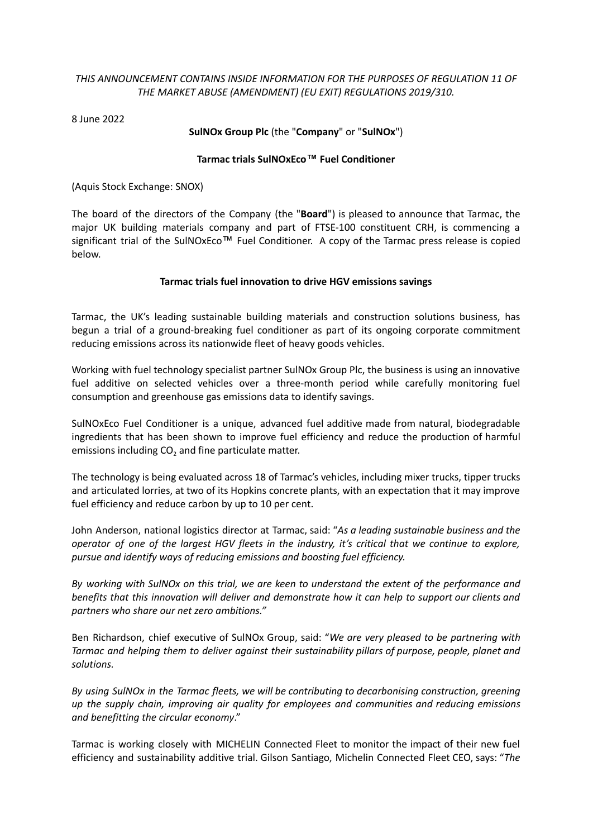## *THIS ANNOUNCEMENT CONTAINS INSIDE INFORMATION FOR THE PURPOSES OF REGULATION 11 OF THE MARKET ABUSE (AMENDMENT) (EU EXIT) REGULATIONS 2019/310.*

8 June 2022

## **SulNOx Group Plc** (the "**Company**" or "**SulNOx**")

## **Tarmac trials SulNOxEco™ Fuel Conditioner**

(Aquis Stock Exchange: SNOX)

The board of the directors of the Company (the "**Board**") is pleased to announce that Tarmac, the major UK building materials company and part of FTSE-100 constituent CRH, is commencing a significant trial of the SulNOxEco™ Fuel Conditioner. A copy of the Tarmac press release is copied below.

## **Tarmac trials fuel innovation to drive HGV emissions savings**

Tarmac, the UK's leading sustainable building materials and construction solutions business, has begun a trial of a ground-breaking fuel conditioner as part of its ongoing corporate commitment reducing emissions across its nationwide fleet of heavy goods vehicles.

Working with fuel technology specialist partner SulNOx Group Plc, the business is using an innovative fuel additive on selected vehicles over a three-month period while carefully monitoring fuel consumption and greenhouse gas emissions data to identify savings.

SulNOxEco Fuel Conditioner is a unique, advanced fuel additive made from natural, biodegradable ingredients that has been shown to improve fuel efficiency and reduce the production of harmful emissions including  $CO<sub>2</sub>$  and fine particulate matter.

The technology is being evaluated across 18 of Tarmac's vehicles, including mixer trucks, tipper trucks and articulated lorries, at two of its Hopkins concrete plants, with an expectation that it may improve fuel efficiency and reduce carbon by up to 10 per cent.

John Anderson, national logistics director at Tarmac, said: "*As a leading sustainable business and the* operator of one of the largest HGV fleets in the industry, it's critical that we continue to explore, *pursue and identify ways of reducing emissions and boosting fuel efficiency.*

*By working with SulNOx on this trial, we are keen to understand the extent of the performance and benefits that this innovation will deliver and demonstrate how it can help to support our clients and partners who share our net zero ambitions."*

Ben Richardson, chief executive of SulNOx Group, said: "*We are very pleased to be partnering with Tarmac and helping them to deliver against their sustainability pillars of purpose, people, planet and solutions.*

*By using SulNOx in the Tarmac fleets, we will be contributing to decarbonising construction, greening up the supply chain, improving air quality for employees and communities and reducing emissions and benefitting the circular economy*."

Tarmac is working closely with MICHELIN Connected Fleet to monitor the impact of their new fuel efficiency and sustainability additive trial. Gilson Santiago, Michelin Connected Fleet CEO, says: "*The*